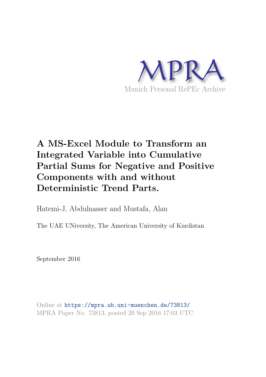

# **A MS-Excel Module to Transform an Integrated Variable into Cumulative Partial Sums for Negative and Positive Components with and without Deterministic Trend Parts.**

Hatemi-J, Abdulnasser and Mustafa, Alan

The UAE UNiversity, The American University of Kurdistan

September 2016

Online at https://mpra.ub.uni-muenchen.de/73813/ MPRA Paper No. 73813, posted 20 Sep 2016 17:03 UTC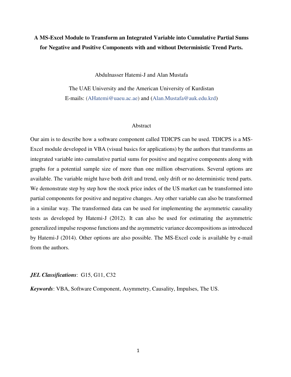# **A MS-Excel Module to Transform an Integrated Variable into Cumulative Partial Sums for Negative and Positive Components with and without Deterministic Trend Parts.**

Abdulnasser Hatemi-J and Alan Mustafa

The UAE University and the American University of Kurdistan E-mails: [\(AHatemi@uaeu.ac.ae\)](mailto:AHatemi@uaeu.ac.ae) and [\(Alan.Mustafa@auk.edu.krd\)](mailto:Alan.Mustafa@auk.edu.krd)

# Abstract

Our aim is to describe how a software component called TDICPS can be used. TDICPS is a MS-Excel module developed in VBA (visual basics for applications) by the authors that transforms an integrated variable into cumulative partial sums for positive and negative components along with graphs for a potential sample size of more than one million observations. Several options are available. The variable might have both drift and trend, only drift or no deterministic trend parts. We demonstrate step by step how the stock price index of the US market can be transformed into partial components for positive and negative changes. Any other variable can also be transformed in a similar way. The transformed data can be used for implementing the asymmetric causality tests as developed by Hatemi-J (2012). It can also be used for estimating the asymmetric generalized impulse response functions and the asymmetric variance decompositions as introduced by Hatemi-J (2014). Other options are also possible. The MS-Excel code is available by e-mail from the authors.

*JEL Classifications*: G15, G11, C32

*Keywords*: VBA, Software Component, Asymmetry, Causality, Impulses, The US.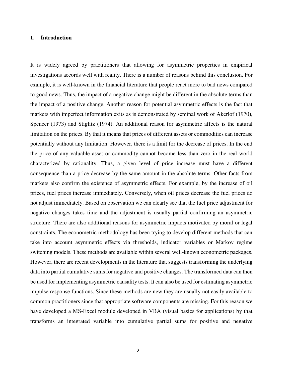# **1. Introduction**

It is widely agreed by practitioners that allowing for asymmetric properties in empirical investigations accords well with reality. There is a number of reasons behind this conclusion. For example, it is well-known in the financial literature that people react more to bad news compared to good news. Thus, the impact of a negative change might be different in the absolute terms than the impact of a positive change. Another reason for potential asymmetric effects is the fact that markets with imperfect information exits as is demonstrated by seminal work of Akerlof (1970), Spencer (1973) and Stiglitz (1974). An additional reason for asymmetric affects is the natural limitation on the prices. By that it means that prices of different assets or commodities can increase potentially without any limitation. However, there is a limit for the decrease of prices. In the end the price of any valuable asset or commodity cannot become less than zero in the real world characterized by rationality. Thus, a given level of price increase must have a different consequence than a price decrease by the same amount in the absolute terms. Other facts from markets also confirm the existence of asymmetric effects. For example, by the increase of oil prices, fuel prices increase immediately. Conversely, when oil prices decrease the fuel prices do not adjust immediately. Based on observation we can clearly see that the fuel price adjustment for negative changes takes time and the adjustment is usually partial confirming an asymmetric structure. There are also additional reasons for asymmetric impacts motivated by moral or legal constraints. The econometric methodology has been trying to develop different methods that can take into account asymmetric effects via thresholds, indicator variables or Markov regime switching models. These methods are available within several well-known econometric packages. However, there are recent developments in the literature that suggests transforming the underlying data into partial cumulative sums for negative and positive changes. The transformed data can then be used for implementing asymmetric causality tests. It can also be used for estimating asymmetric impulse response functions. Since these methods are new they are usually not easily available to common practitioners since that appropriate software components are missing. For this reason we have developed a MS-Excel module developed in VBA (visual basics for applications) by that transforms an integrated variable into cumulative partial sums for positive and negative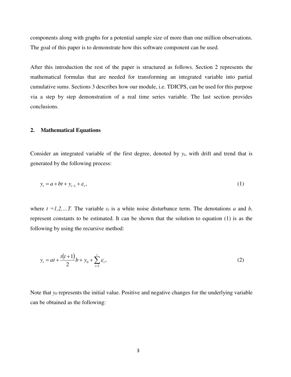components along with graphs for a potential sample size of more than one million observations. The goal of this paper is to demonstrate how this software component can be used.

After this introduction the rest of the paper is structured as follows. Section 2 represents the mathematical formulas that are needed for transforming an integrated variable into partial cumulative sums. Sections 3 describes how our module, i.e. TDICPS, can be used for this purpose via a step by step demonstration of a real time series variable. The last section provides conclusions.

#### **2. Mathematical Equations**

Consider an integrated variable of the first degree, denoted by *yt*, with drift and trend that is generated by the following process:

$$
y_t = a + bt + y_{t-1} + \varepsilon_t,\tag{1}
$$

where  $t = 1, 2, \ldots, T$ . The variable  $\varepsilon_t$  is a white noise disturbance term. The denotations *a* and *b*, represent constants to be estimated. It can be shown that the solution to equation (1) is as the following by using the recursive method:

$$
y_t = at + \frac{t(t+1)}{2}b + y_0 + \sum_{i=1}^t \varepsilon_i,
$$
 (2)

Note that *y0* represents the initial value. Positive and negative changes for the underlying variable can be obtained as the following: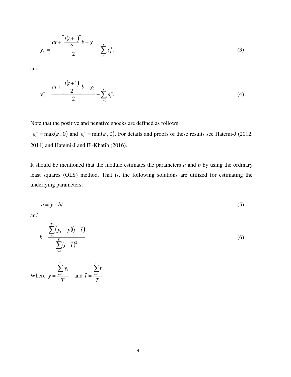$$
y_t^+ = \frac{at + \left[\frac{t(t+1)}{2}\right]b + y_0}{2} + \sum_{i=1}^t \varepsilon_i^+, \tag{3}
$$

and

$$
y_t^- = \frac{at + \left[\frac{t(t+1)}{2}\right]b + y_0}{2} + \sum_{i=1}^t \varepsilon_i^-.
$$
 (4)

Note that the positive and negative shocks are defined as follows:

 $\varepsilon_i^* = \max(\varepsilon_i, 0)$  and  $\varepsilon_i^- = \min(\varepsilon_i, 0)$ . For details and proofs of these results see Hatemi-J (2012, 2014) and Hatemi-J and El-Khatib (2016).

It should be mentioned that the module estimates the parameters *a* and *b* by using the ordinary least squares (OLS) method. That is, the following solutions are utilized for estimating the underlying parameters:

$$
a = \bar{y} - b\bar{t} \tag{5}
$$

and

$$
b = \frac{\sum_{t=1}^{T} (y_t - \bar{y})(t - \bar{t})}{\sum_{t=1}^{T} (t - \bar{t})^2}
$$
 (6)

Where  $\bar{y} = \frac{t=1}{2}$ *T y y T*  $=\frac{\sum_{t=1}^{T} y_t}{T}$  and  $\bar{t} = \frac{\sum_{t=1}^{T} y_t}{T}$ *t t T*  $=\frac{\sum_{t=1}^{t}}{n}$ .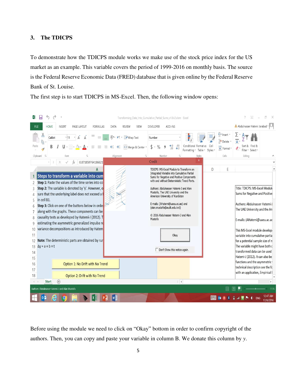# **3. The TDICPS**

To demonstrate how the TDICPS module works we make use of the stock price index for the US market as an example. This variable covers the period of 1999-2016 on monthly basis. The source is the Federal Reserve Economic Data (FRED) database that is given online by the Federal Reserve Bank of St. Louise.

The first step is to start TDICPS in MS-Excel. Then, the following window opens:



Before using the module we need to click on "Okay" bottom in order to confirm copyright of the authors. Then, you can copy and paste your variable in column B. We donate this column by *y*.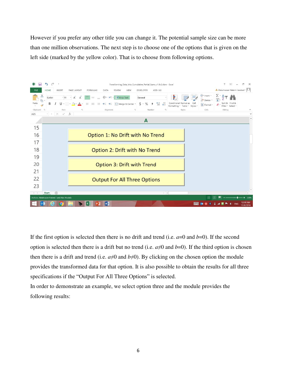However if you prefer any other title you can change it. The potential sample size can be more than one million observations. The next step is to choose one of the options that is given on the left side (marked by the yellow color). That is to choose from following options.



If the first option is selected then there is no drift and trend (i.e.  $a=0$  and  $b=0$ ). If the second option is selected then there is a drift but no trend (i.e.  $a \neq 0$  and  $b=0$ ). If the third option is chosen then there is a drift and trend (i.e.  $a\neq 0$  and  $b\neq 0$ ). By clicking on the chosen option the module provides the transformed data for that option. It is also possible to obtain the results for all three specifications if the "Output For All Three Options" is selected.

In order to demonstrate an example, we select option three and the module provides the following results: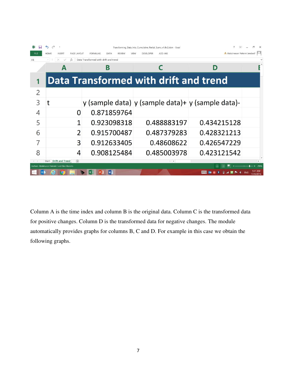|                                                |                                      |                                          | Transforming_Data_Into_Cumulative_Partial_Sums_v1.8v2.xlsm - Excel |                            |           |
|------------------------------------------------|--------------------------------------|------------------------------------------|--------------------------------------------------------------------|----------------------------|-----------|
| FILE                                           | HOME<br><b>INSERT</b><br>PAGE LAYOUT | <b>FORMULAS</b><br>DATA<br><b>REVIEW</b> | ADD-INS<br>VIEW<br><b>DEVELOPER</b>                                | Abdulnasser Hatemi Jarabad |           |
| Data Transformed with drift and trend<br>A1    |                                      |                                          |                                                                    |                            |           |
|                                                |                                      | В                                        |                                                                    | D                          |           |
|                                                |                                      |                                          | <b>Data Transformed with drift and trend</b>                       |                            |           |
| $\overline{2}$                                 |                                      |                                          |                                                                    |                            |           |
| 3                                              |                                      |                                          | y (sample data) y (sample data)+ y (sample data)-                  |                            |           |
| 4                                              | O                                    | 0.871859764                              |                                                                    |                            |           |
| 5                                              | $\mathbf{1}$                         | 0.923098318                              | 0.488883197                                                        | 0.434215128                |           |
| 6                                              | $\overline{\phantom{0}}$             | 0.915700487                              | 0.487379283                                                        | 0.428321213                |           |
| 7                                              | 3                                    | 0.912633405                              | 0.48608622                                                         | 0.426547229                |           |
| 8                                              | 4                                    | 0.908125484                              | 0.485003978                                                        | 0.423121542                |           |
|                                                | Start Drift and Trend<br>$\bigoplus$ |                                          | $\frac{1}{2}$                                                      |                            |           |
| Authors: Abdulnasser Hatemi-J and Alan Mustafa |                                      |                                          |                                                                    |                            |           |
|                                                |                                      | Iw<br>x ≣                                |                                                                    | ###                        | 17/9/2016 |

Column A is the time index and column B is the original data. Column C is the transformed data for positive changes. Column D is the transformed data for negative changes. The module automatically provides graphs for columns B, C and D. For example in this case we obtain the following graphs.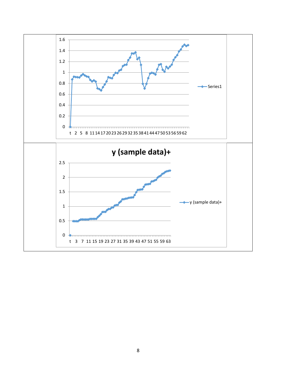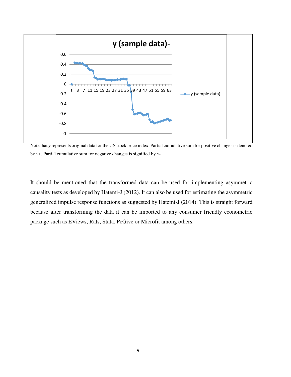

Note that *y* represents original data for the US stock price index. Partial cumulative sum for positive changes is denoted by *y*+. Partial cumulative sum for negative changes is signified by *y*-.

It should be mentioned that the transformed data can be used for implementing asymmetric causality tests as developed by Hatemi-J (2012). It can also be used for estimating the asymmetric generalized impulse response functions as suggested by Hatemi-J (2014). This is straight forward because after transforming the data it can be imported to any consumer friendly econometric package such as EViews, Rats, Stata, PcGive or Microfit among others.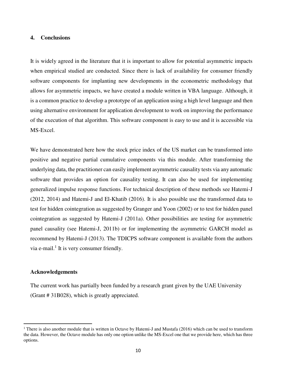# **4. Conclusions**

It is widely agreed in the literature that it is important to allow for potential asymmetric impacts when empirical studied are conducted. Since there is lack of availability for consumer friendly software components for implanting new developments in the econometric methodology that allows for asymmetric impacts, we have created a module written in VBA language. Although, it is a common practice to develop a prototype of an application using a high level language and then using alternative environment for application development to work on improving the performance of the execution of that algorithm. This software component is easy to use and it is accessible via MS-Excel.

We have demonstrated here how the stock price index of the US market can be transformed into positive and negative partial cumulative components via this module. After transforming the underlying data, the practitioner can easily implement asymmetric causality tests via any automatic software that provides an option for causality testing. It can also be used for implementing generalized impulse response functions. For technical description of these methods see Hatemi-J (2012, 2014) and Hatemi-J and El-Khatib (2016). It is also possible use the transformed data to test for hidden cointegration as suggested by Granger and Yoon (2002) or to test for hidden panel cointegration as suggested by Hatemi-J (2011a). Other possibilities are testing for asymmetric panel causality (see Hatemi-J, 2011b) or for implementing the asymmetric GARCH model as recommend by Hatemi-J (2013). The TDICPS software component is available from the authors via e-mail. $<sup>1</sup>$  It is very consumer friendly.</sup>

# **Acknowledgements**

l

The current work has partially been funded by a research grant given by the UAE University (Grant # 31B028), which is greatly appreciated.

<sup>&</sup>lt;sup>1</sup> There is also another module that is written in Octave by Hatemi-J and Mustafa (2016) which can be used to transform the data. However, the Octave module has only one option unlike the MS-Excel one that we provide here, which has three options.